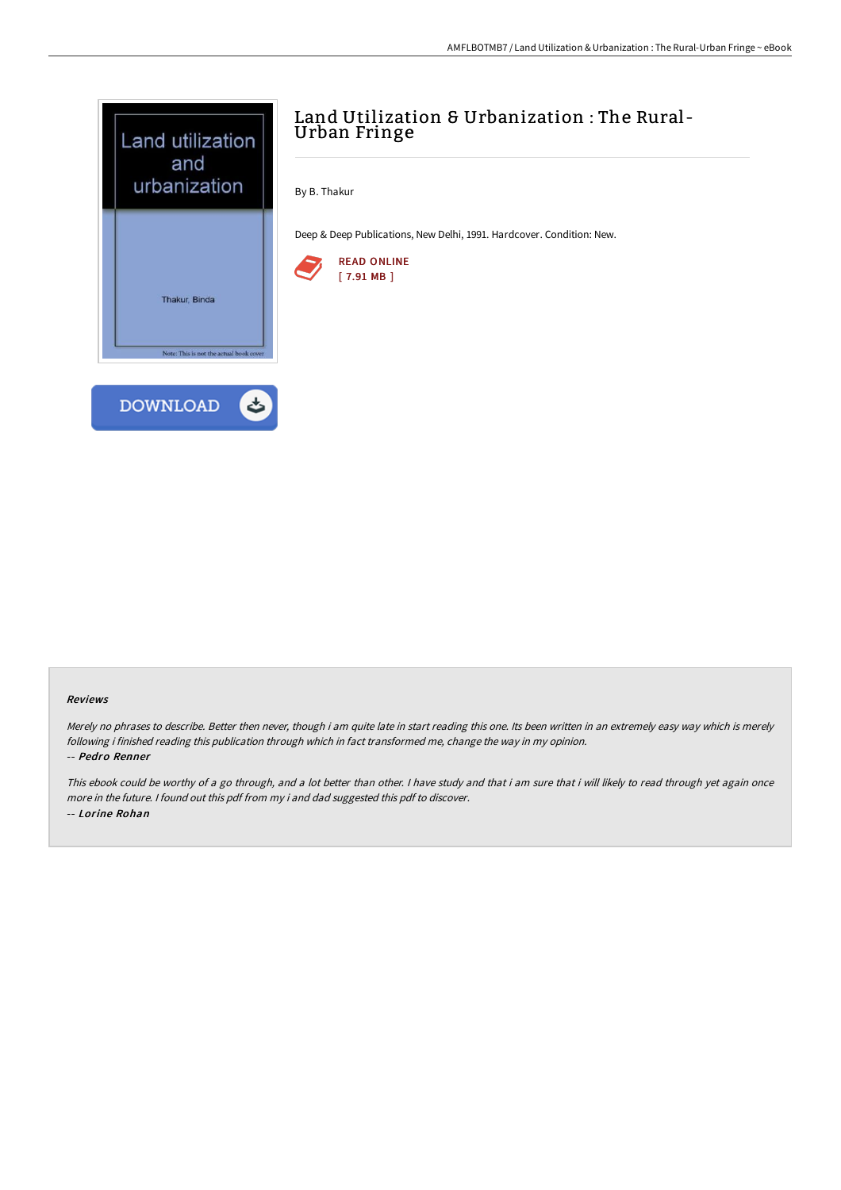

# Land Utilization & Urbanization : The Rural-Urban Fringe

By B. Thakur

Deep & Deep Publications, New Delhi, 1991. Hardcover. Condition: New.



#### Reviews

Merely no phrases to describe. Better then never, though i am quite late in start reading this one. Its been written in an extremely easy way which is merely following i finished reading this publication through which in fact transformed me, change the way in my opinion. -- Pedro Renner

This ebook could be worthy of a go through, and a lot better than other. I have study and that i am sure that i will likely to read through yet again once more in the future. <sup>I</sup> found out this pdf from my i and dad suggested this pdf to discover. -- Lorine Rohan